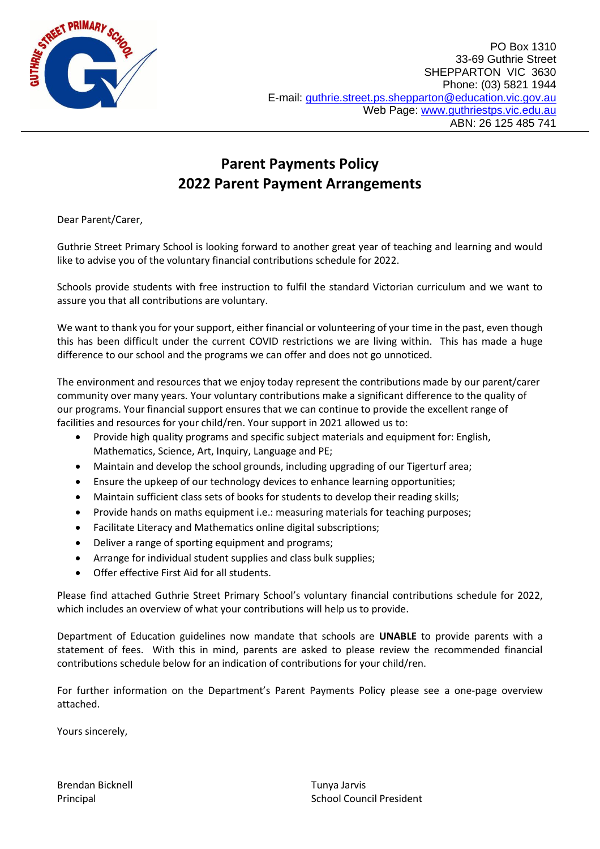

## **Parent Payments Policy 2022 Parent Payment Arrangements**

Dear Parent/Carer,

Guthrie Street Primary School is looking forward to another great year of teaching and learning and would like to advise you of the voluntary financial contributions schedule for 2022.

Schools provide students with free instruction to fulfil the standard Victorian curriculum and we want to assure you that all contributions are voluntary.

We want to thank you for your support, either financial or volunteering of your time in the past, even though this has been difficult under the current COVID restrictions we are living within. This has made a huge difference to our school and the programs we can offer and does not go unnoticed.

The environment and resources that we enjoy today represent the contributions made by our parent/carer community over many years. Your voluntary contributions make a significant difference to the quality of our programs. Your financial support ensures that we can continue to provide the excellent range of facilities and resources for your child/ren. Your support in 2021 allowed us to:

- Provide high quality programs and specific subject materials and equipment for: English, Mathematics, Science, Art, Inquiry, Language and PE;
- Maintain and develop the school grounds, including upgrading of our Tigerturf area;
- Ensure the upkeep of our technology devices to enhance learning opportunities;
- Maintain sufficient class sets of books for students to develop their reading skills;
- Provide hands on maths equipment i.e.: measuring materials for teaching purposes;
- Facilitate Literacy and Mathematics online digital subscriptions;
- Deliver a range of sporting equipment and programs;
- Arrange for individual student supplies and class bulk supplies;
- Offer effective First Aid for all students.

Please find attached Guthrie Street Primary School's voluntary financial contributions schedule for 2022, which includes an overview of what your contributions will help us to provide.

Department of Education guidelines now mandate that schools are **UNABLE** to provide parents with a statement of fees. With this in mind, parents are asked to please review the recommended financial contributions schedule below for an indication of contributions for your child/ren.

For further information on the Department's Parent Payments Policy please see a one-page overview attached.

Yours sincerely,

Brendan Bicknell **Tunya Jarvis Brendan Bicknell**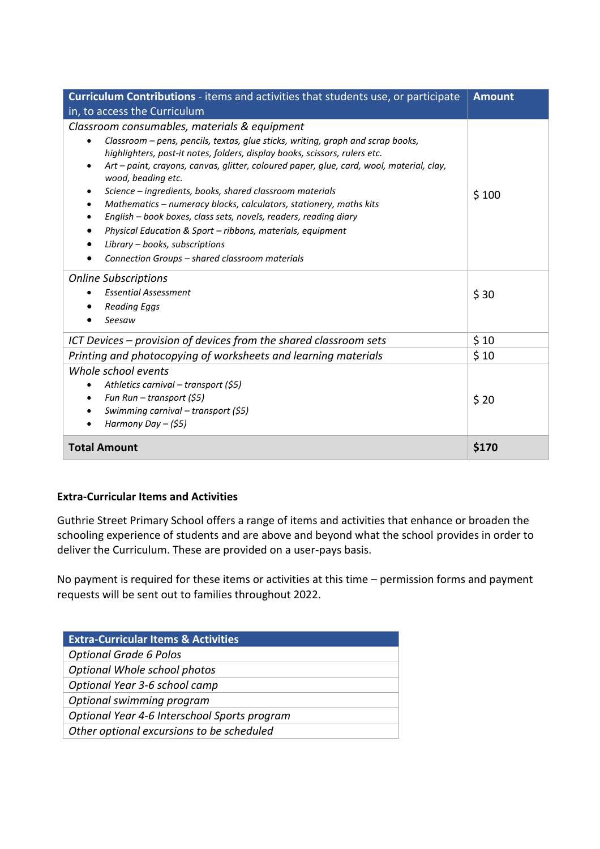| <b>Curriculum Contributions</b> - items and activities that students use, or participate                                                                                                                                                                                                                                                                                                                                                                                                                                                                                                                                                                                                                                       | <b>Amount</b> |
|--------------------------------------------------------------------------------------------------------------------------------------------------------------------------------------------------------------------------------------------------------------------------------------------------------------------------------------------------------------------------------------------------------------------------------------------------------------------------------------------------------------------------------------------------------------------------------------------------------------------------------------------------------------------------------------------------------------------------------|---------------|
| in, to access the Curriculum                                                                                                                                                                                                                                                                                                                                                                                                                                                                                                                                                                                                                                                                                                   |               |
| Classroom consumables, materials & equipment<br>Classroom – pens, pencils, textas, glue sticks, writing, graph and scrap books,<br>highlighters, post-it notes, folders, display books, scissors, rulers etc.<br>Art - paint, crayons, canvas, glitter, coloured paper, glue, card, wool, material, clay,<br>wood, beading etc.<br>Science - ingredients, books, shared classroom materials<br>$\bullet$<br>Mathematics - numeracy blocks, calculators, stationery, maths kits<br>English - book boxes, class sets, novels, readers, reading diary<br>$\bullet$<br>Physical Education & Sport - ribbons, materials, equipment<br>$\bullet$<br>Library - books, subscriptions<br>Connection Groups - shared classroom materials | \$100         |
| <b>Online Subscriptions</b><br><b>Essential Assessment</b><br><b>Reading Eggs</b><br>Seesaw                                                                                                                                                                                                                                                                                                                                                                                                                                                                                                                                                                                                                                    | \$30          |
| ICT Devices - provision of devices from the shared classroom sets                                                                                                                                                                                                                                                                                                                                                                                                                                                                                                                                                                                                                                                              | \$10          |
| Printing and photocopying of worksheets and learning materials                                                                                                                                                                                                                                                                                                                                                                                                                                                                                                                                                                                                                                                                 | \$10          |
| Whole school events<br>Athletics carnival - transport (\$5)<br>٠<br>Fun Run - transport (\$5)<br>$\bullet$<br>Swimming carnival - transport (\$5)<br>Harmony Day $-(55)$<br>$\bullet$                                                                                                                                                                                                                                                                                                                                                                                                                                                                                                                                          | \$20          |
| <b>Total Amount</b>                                                                                                                                                                                                                                                                                                                                                                                                                                                                                                                                                                                                                                                                                                            | \$170         |

## **Extra-Curricular Items and Activities**

Guthrie Street Primary School offers a range of items and activities that enhance or broaden the schooling experience of students and are above and beyond what the school provides in order to deliver the Curriculum. These are provided on a user-pays basis.

No payment is required for these items or activities at this time – permission forms and payment requests will be sent out to families throughout 2022.

| <b>Extra-Curricular Items &amp; Activities</b> |
|------------------------------------------------|
| <b>Optional Grade 6 Polos</b>                  |
| Optional Whole school photos                   |
| Optional Year 3-6 school camp                  |
| Optional swimming program                      |
| Optional Year 4-6 Interschool Sports program   |
| Other optional excursions to be scheduled      |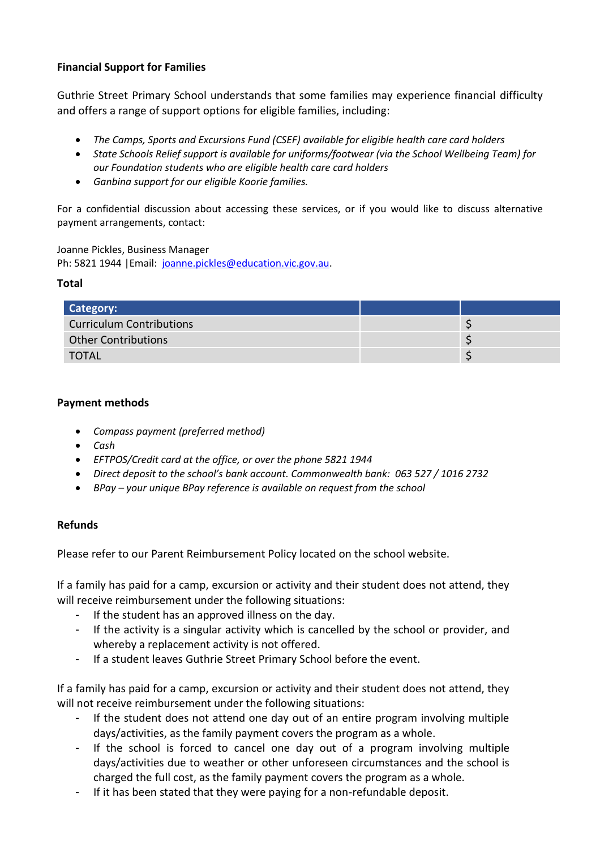## **Financial Support for Families**

Guthrie Street Primary School understands that some families may experience financial difficulty and offers a range of support options for eligible families, including:

- *The Camps, Sports and Excursions Fund (CSEF) available for eligible health care card holders*
- *State Schools Relief support is available for uniforms/footwear (via the School Wellbeing Team) for our Foundation students who are eligible health care card holders*
- *Ganbina support for our eligible Koorie families.*

For a confidential discussion about accessing these services, or if you would like to discuss alternative payment arrangements, contact:

Joanne Pickles, Business Manager Ph: 5821 1944 |Email: [joanne.pickles@education.vic.gov.au.](mailto:joanne.pickles@education.vic.gov.au)

#### **Total**

| <b>Category:</b>                |  |
|---------------------------------|--|
| <b>Curriculum Contributions</b> |  |
| <b>Other Contributions</b>      |  |
| TOTAL                           |  |

#### **Payment methods**

- *Compass payment (preferred method)*
- *Cash*
- *EFTPOS/Credit card at the office, or over the phone 5821 1944*
- *Direct deposit to the school's bank account. Commonwealth bank: 063 527 / 1016 2732*
- *BPay – your unique BPay reference is available on request from the school*

## **Refunds**

Please refer to our Parent Reimbursement Policy located on the school website.

If a family has paid for a camp, excursion or activity and their student does not attend, they will receive reimbursement under the following situations:

- If the student has an approved illness on the day.
- If the activity is a singular activity which is cancelled by the school or provider, and whereby a replacement activity is not offered.
- If a student leaves Guthrie Street Primary School before the event.

If a family has paid for a camp, excursion or activity and their student does not attend, they will not receive reimbursement under the following situations:

- If the student does not attend one day out of an entire program involving multiple days/activities, as the family payment covers the program as a whole.
- If the school is forced to cancel one day out of a program involving multiple days/activities due to weather or other unforeseen circumstances and the school is charged the full cost, as the family payment covers the program as a whole.
- If it has been stated that they were paying for a non-refundable deposit.